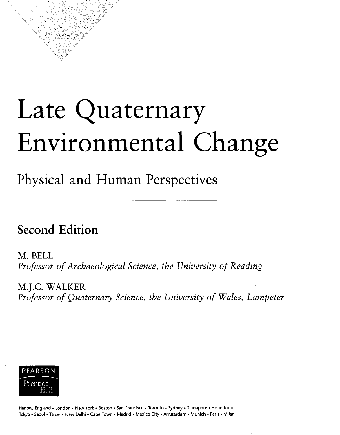## Late Quaternary Environmental Change

Physical and Human Perspectives

## Second Edition

M. BELL *Professor of Archaeological Science, the University of Reading*

M.J.C. WALKER *Professor of Quaternary Science, the University of Wales, Lampeter*



Harlow, England • London • New York • Boston • San Francisco • Toronto • Sydney • Singapore • Hong Kong Tokyo • Seoul • Taipei • New Delhi • Cape Town • Madrid • Mexico City • Amsterdam • Munich • Paris • Milan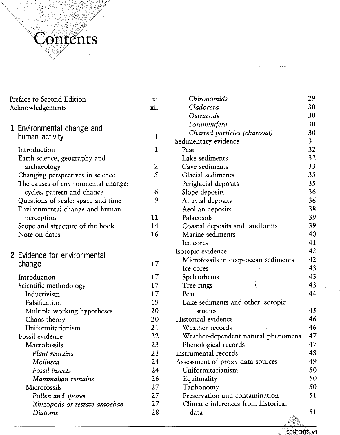

| Preface to Second Edition |                                        | xi               | Chironomids                          | 29 |
|---------------------------|----------------------------------------|------------------|--------------------------------------|----|
| Acknowledgements          |                                        | xii              | Cladocera                            | 30 |
|                           |                                        |                  | Ostracods                            | 30 |
|                           | 1 Environmental change and             |                  | Foraminifera                         | 30 |
|                           |                                        | $\mathbf{1}$     | Charred particles (charcoal)         | 30 |
|                           | human activity                         |                  | Sedimentary evidence                 | 31 |
|                           | Introduction                           | $\mathbf{1}$     | Peat                                 | 32 |
|                           | Earth science, geography and           |                  | Lake sediments                       | 32 |
|                           | archaeology                            | $\boldsymbol{2}$ | Cave sediments                       | 33 |
|                           | Changing perspectives in science       | 5                | Glacial sediments                    | 35 |
|                           | The causes of environmental change:    |                  | Periglacial deposits                 | 35 |
|                           | cycles, pattern and chance             | 6                | Slope deposits                       | 36 |
|                           | Questions of scale: space and time     | 9                | Alluvial deposits                    | 36 |
|                           | Environmental change and human         |                  | Aeolian deposits                     | 38 |
|                           | perception                             | 11               | Palaeosols                           | 39 |
|                           | Scope and structure of the book        | 14               | Coastal deposits and landforms       | 39 |
|                           | Note on dates                          | 16               | Marine sediments                     | 40 |
|                           |                                        |                  | Ice cores                            | 41 |
|                           | 2 Evidence for environmental<br>change |                  | Isotopic evidence                    | 42 |
|                           |                                        | 17               | Microfossils in deep-ocean sediments | 42 |
|                           |                                        |                  | Ice cores                            | 43 |
|                           | Introduction                           | 17               | Speleothems                          | 43 |
|                           | Scientific methodology                 | 17               | Tree rings                           | 43 |
|                           | Inductivism                            | 17               | Peat                                 | 44 |
|                           | Falsification                          | 19               | Lake sediments and other isotopic    |    |
|                           | Multiple working hypotheses            | 20               | studies                              | 45 |
|                           | Chaos theory                           | 20               | Historical evidence                  | 46 |
|                           | Uniformitarianism                      | 21               | Weather records                      | 46 |
|                           | Fossil evidence                        | 22               | Weather-dependent natural phenomena  | 47 |
|                           | Macrofossils                           | 23               | Phenological records                 | 47 |
|                           | Plant remains                          | 23               | Instrumental records                 | 48 |
|                           | Mollusca                               | 24               | Assessment of proxy data sources     | 49 |
|                           | Fossil insects                         | 24               | Uniformitarianism                    | 50 |
|                           | Mammalian remains                      | 26               | Equifinality                         | 50 |
|                           | Microfossils                           | 27               | Taphonomy                            | 50 |
|                           | Pollen and spores                      | 27               | Preservation and contamination       | 51 |
|                           | Rhizopods or testate amoebae           | 27               | Climatic inferences from historical  |    |
|                           | Diatoms                                | 28               | data                                 | 51 |
|                           |                                        |                  |                                      |    |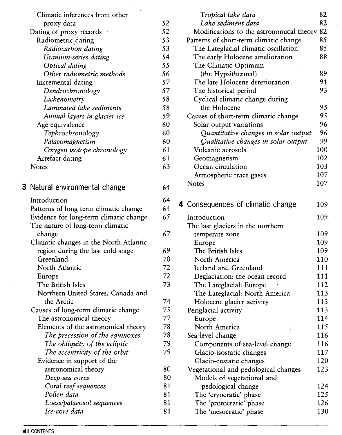| Climatic inferences from other         |    |
|----------------------------------------|----|
| proxy data                             | 52 |
| Dating of proxy records                | 52 |
| Radiometric dating                     | 53 |
| Radiocarbon dating                     | 53 |
| Uranium-series dating                  | 54 |
| Optical dating                         | 55 |
| Other radiometric methods              | 56 |
| Incremental dating                     | 57 |
| Dendrochronology                       | 57 |
| Lichenometry                           | 58 |
| Laminated lake sediments               | 58 |
| Annual layers in glacier ice           | 59 |
| Age equivalence                        | 60 |
| Tephrochronology                       | 60 |
| Palaeomagnetism                        | 60 |
| Oxygen isotope chronology              | 61 |
| Artefact dating                        | 61 |
| <b>Notes</b>                           | 63 |
|                                        |    |
| 3 Natural environmental change         | 64 |
|                                        |    |
| Introduction                           | 64 |
| Patterns of long-term climatic change  | 64 |
| Evidence for long-term climatic change | 65 |
| The nature of long-term climatic       |    |
| change                                 | 67 |
| Climatic changes in the North Atlantic |    |
| region during the last cold stage      | 69 |
| Greenland                              | 70 |

| rue nature or iong-term cumatic        |
|----------------------------------------|
| change                                 |
| Climatic changes in the North Atlantic |
| region during the last cold stage      |
| Greenland                              |
| North Atlantic                         |
| Europe                                 |
| The British Isles                      |
| Northern United States, Canada and     |
| the Arctic                             |
| Causes of long-term climatic change    |
| The astronomical theory                |
| Elements of the astronomical theory    |
| The precession of the equinoxes        |
| The obliquity of the ecliptic          |
| The eccentricity of the orbit          |
| Evidence in support of the             |
| astronomical theory                    |
| Deep-sea cores                         |
| Coral reef sequences                   |
| Pollen data                            |
| Loess/palaeosol sequences              |

72 72 73

| Tropical lake data                       | 82  |
|------------------------------------------|-----|
| Lake sediment data                       | 82  |
| Modifications to the astronomical theory | 82  |
| Patterns of short-term climatic change   | 85  |
| The Lateglacial climatic oscillation     | 85  |
| The early Holocene amelioration          | 88  |
| The Climatic Optimum                     |     |
| (the Hypsithermal)                       | 89  |
| The late Holocene deterioration          | 91  |
| The historical period                    | 93  |
| Cyclical climatic change during          |     |
| the Holocene                             | 95  |
| Causes of short-term climatic change     | 95  |
| Solar output variations                  | 96  |
| Quantitative changes in solar output     | 96  |
| Qualitative changes in solar output      | 99  |
| Volcanic aerosols                        | 100 |
| Geomagnetism                             | 102 |
| Ocean circulation                        | 103 |
| Atmospheric trace gases                  | 107 |
| <b>Notes</b>                             | 107 |
|                                          |     |
| 4 Consequences of climatic change        | 109 |
|                                          |     |
| Introduction                             | 109 |
| The last glaciers in the northern        |     |
| temperate zone                           | 109 |
| Europe                                   | 109 |
| The British Isles                        | 109 |
| North America                            | 110 |
| Iceland and Greenland                    | 111 |
| Deglaciation: the ocean record           | 111 |
| The Lateglacial: Europe                  | 112 |

The Lateglacial: North America Holocene glacier activity

k,

Components of sea-level change

Vegetational and pedological changes Models of vegetational and pedological change The 'cryocratic' phase The 'protocratic' phase The 'mesocratic' phase

Glacio-isostatic changes Glacio-eustatic changes

Periglacial activity Europe

North America Sea-level change

**viii CONTENTS**

*Ice-core data*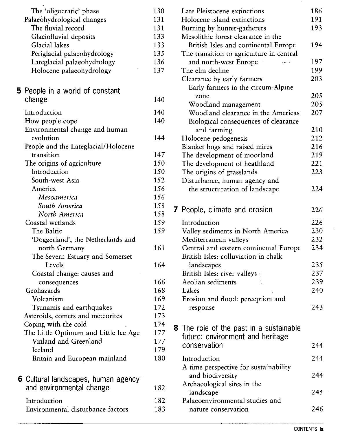| The 'oligocratic' phase               | 130 |
|---------------------------------------|-----|
| Palaeohydrological changes            | 131 |
| The fluvial record                    | 131 |
|                                       |     |
| Glaciofluvial deposits                | 133 |
| Glacial lakes                         | 133 |
| Periglacial palaeohydrology           | 135 |
| Lateglacial palaeohydrology           | 136 |
| Holocene palaeohydrology              | 137 |
| 5 People in a world of constant       |     |
| change                                | 140 |
| Introduction                          | 140 |
| How people cope                       | 140 |
| Environmental change and human        |     |
| evolution                             | 144 |
| People and the Lateglacial/Holocene   |     |
| transition                            | 147 |
| The origins of agriculture            | 150 |
| Introduction                          | 150 |
| South-west Asia                       | 152 |
| America                               | 156 |
| Mesoamerica                           | 156 |
| South America                         | 158 |
| North America                         | 158 |
| Coastal wetlands                      | 159 |
| The Baltic                            | 159 |
| 'Doggerland', the Netherlands and     |     |
| north Germany                         | 161 |
| The Severn Estuary and Somerset       |     |
| Levels                                | 164 |
|                                       |     |
| Coastal change: causes and            |     |
| consequences                          | 166 |
| Geohazards                            | 168 |
| Volcanism                             | 169 |
| Tsunamis and earthquakes              | 172 |
| Asteroids, comets and meteorites      | 173 |
| Coping with the cold                  | 174 |
| The Little Optimum and Little Ice Age | 177 |
| Vinland and Greenland                 | 177 |
| Iceland                               | 179 |
| Britain and European mainland         | 180 |
| 6 Cultural landscapes, human agency   |     |
| and environmental change              | 182 |
|                                       |     |
| Introduction                          | 182 |
| Environmental disturbance factors     | 183 |
|                                       |     |

| Late Pleistocene extinctions                   | 186 |
|------------------------------------------------|-----|
| Holocene island extinctions                    | 191 |
| Burning by hunter-gatherers                    | 193 |
| Mesolithic forest clearance in the             |     |
| British Isles and continental Europe           | 194 |
| The transition to agriculture in central       |     |
| and north-west Europe                          | 197 |
| The elm decline                                | 199 |
| Clearance by early farmers                     | 203 |
| Early farmers in the circum-Alpine             |     |
| zone                                           | 205 |
| Woodland management                            | 205 |
| Woodland clearance in the Americas             | 207 |
| Biological consequences of clearance           |     |
| and farming                                    | 210 |
| Holocene pedogenesis                           | 212 |
| Blanket bogs and raised mires                  | 216 |
| The development of moorland                    | 219 |
| The development of heathland                   | 221 |
| The origins of grasslands                      | 223 |
| Disturbance, human agency and                  |     |
| the structuration of landscape                 | 224 |
|                                                |     |
| 7 People, climate and erosion                  | 226 |
|                                                |     |
| Introduction                                   | 226 |
| Valley sediments in North America              | 230 |
| Mediterranean valleys                          | 232 |
| Central and eastern continental Europe         | 234 |
| British Isles: colluviation in chalk           |     |
| landscapes                                     | 235 |
| British Isles: river valleys                   | 237 |
| Aeolian sediments                              | 239 |
| Lakes                                          | 240 |
| Erosion and flood: perception and              |     |
| response                                       | 243 |
|                                                |     |
| <b>8</b> The role of the past in a sustainable |     |
| future: environment and heritage               |     |
| conservation                                   | 244 |
|                                                |     |
| Introduction                                   | 244 |
| A time perspective for sustainability          |     |
| and biodiversity                               | 244 |
| Archaeological sites in the                    |     |
| landscape                                      | 245 |
| Palaeoenvironmental studies and                |     |
| nature conservation                            | 246 |
|                                                |     |